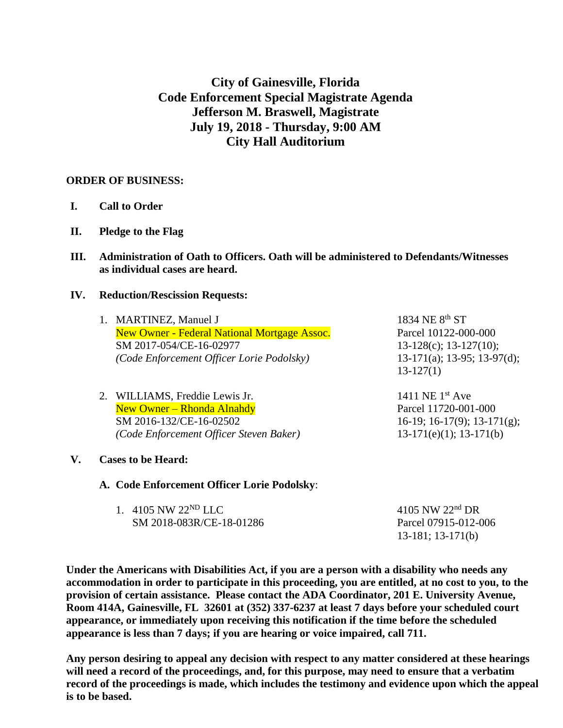# **City of Gainesville, Florida Code Enforcement Special Magistrate Agenda Jefferson M. Braswell, Magistrate July 19, 2018 - Thursday, 9:00 AM City Hall Auditorium**

### **ORDER OF BUSINESS:**

- **I. Call to Order**
- **II. Pledge to the Flag**
- **III. Administration of Oath to Officers. Oath will be administered to Defendants/Witnesses as individual cases are heard.**

#### **IV. Reduction/Rescission Requests:**

| 1. MARTINEZ, Manuel J                               | 1834 NE 8 <sup>th</sup> ST |
|-----------------------------------------------------|----------------------------|
| <b>New Owner - Federal National Mortgage Assoc.</b> | Parcel 10122-00            |
| SM 2017-054/CE-16-02977                             | $13-128(c)$ ; 13-1         |
| (Code Enforcement Officer Lorie Podolsky)           | $13-171(a)$ ; 13-9         |
|                                                     | $13-127(1)$                |

2. WILLIAMS, Freddie Lewis Jr. 1411 NE 1<sup>st</sup> Ave New Owner – Rhonda Alnahdy Parcel 11720-001-000 SM 2016-132/CE-16-02502 16-19; 16-17(9); 13-171(g); *(Code Enforcement Officer Steven Baker)* 13-171(e)(1); 13-171(b)

 $-1$  10122-000-000  $28(c)$ ; 13-127(10);  $(1(a); 13-95; 13-97(d));$  $(7(1)$ 

## **V. Cases to be Heard:**

**A. Code Enforcement Officer Lorie Podolsky**:

| 1. 4105 NW $22^{ND}$ LLC | 4105 NW $22nd$ DR      |
|--------------------------|------------------------|
| SM 2018-083R/CE-18-01286 | Parcel 07915-012-006   |
|                          | $13-181$ ; $13-171(b)$ |

**Under the Americans with Disabilities Act, if you are a person with a disability who needs any accommodation in order to participate in this proceeding, you are entitled, at no cost to you, to the provision of certain assistance. Please contact the ADA Coordinator, 201 E. University Avenue, Room 414A, Gainesville, FL 32601 at (352) 337-6237 at least 7 days before your scheduled court appearance, or immediately upon receiving this notification if the time before the scheduled appearance is less than 7 days; if you are hearing or voice impaired, call 711.**

**Any person desiring to appeal any decision with respect to any matter considered at these hearings will need a record of the proceedings, and, for this purpose, may need to ensure that a verbatim record of the proceedings is made, which includes the testimony and evidence upon which the appeal is to be based.**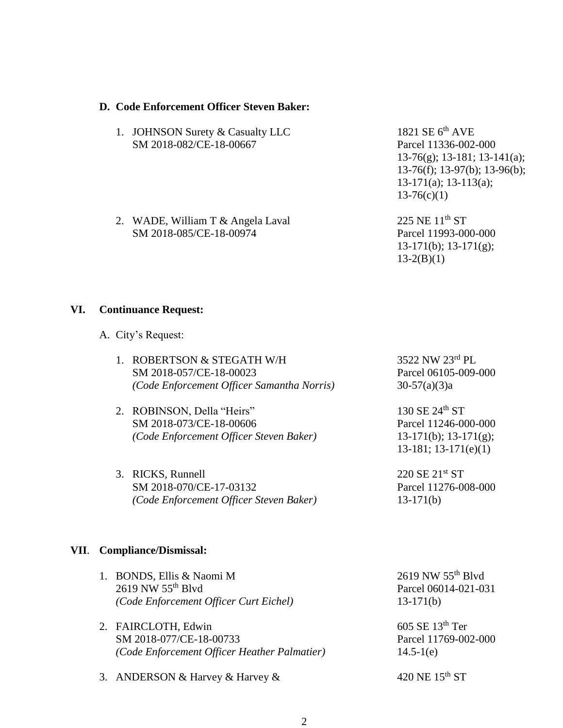#### **D. Code Enforcement Officer Steven Baker:**

- 1. JOHNSON Surety & Casualty LLC 1821 SE 6<sup>th</sup> AVE SM 2018-082/CE-18-00667 Parcel 11336-002-000
- 2. WADE, William T & Angela Laval 225 NE  $11<sup>th</sup>$  ST SM 2018-085/CE-18-00974 Parcel 11993-000-000

13-76(g); 13-181; 13-141(a); 13-76(f); 13-97(b); 13-96(b); 13-171(a); 13-113(a);  $13-76(c)(1)$ 

13-171(b); 13-171(g);  $13-2(B)(1)$ 

#### **VI. Continuance Request:**

- A. City's Request:
	- 1. ROBERTSON & STEGATH W/H  $3522$  NW  $23^{rd}$  PL SM 2018-057/CE-18-00023 Parcel 06105-009-000 *(Code Enforcement Officer Samantha Norris)* 30-57(a)(3)a
	- 2. ROBINSON, Della "Heirs"  $130 \text{ SE } 24^{\text{th}} \text{ ST}$ SM 2018-073/CE-18-00606 Parcel 11246-000-000 *(Code Enforcement Officer Steven Baker)* 13-171(b); 13-171(g);
	- 3. RICKS, Runnell 220 SE  $21^{st}$  ST SM 2018-070/CE-17-03132 Parcel 11276-008-000 *(Code Enforcement Officer Steven Baker)* 13-171(b)

13-181; 13-171(e)(1)

#### **VII**. **Compliance/Dismissal:**

| 1. BONDS, Ellis & Naomi M<br>2619 NW 55 <sup>th</sup> Blvd<br>(Code Enforcement Officer Curt Eichel) |
|------------------------------------------------------------------------------------------------------|
| 2. FAIRCLOTH, Edwin<br>SM 2018-077/CE-18-00733<br>(Code Enforcement Officer Heather Palmatier)       |

3. ANDERSON & Harvey & Harvey &  $420$  NE  $15^{th}$  ST

 $2619$  NW  $55<sup>th</sup>$  Blvd Parcel 06014-021-031 *(Code Enforcement Officer Curt Eichel)* 13-171(b)

 $605$  SE  $13<sup>th</sup>$  Ter Parcel 11769-002-000  $14.5 - 1(e)$